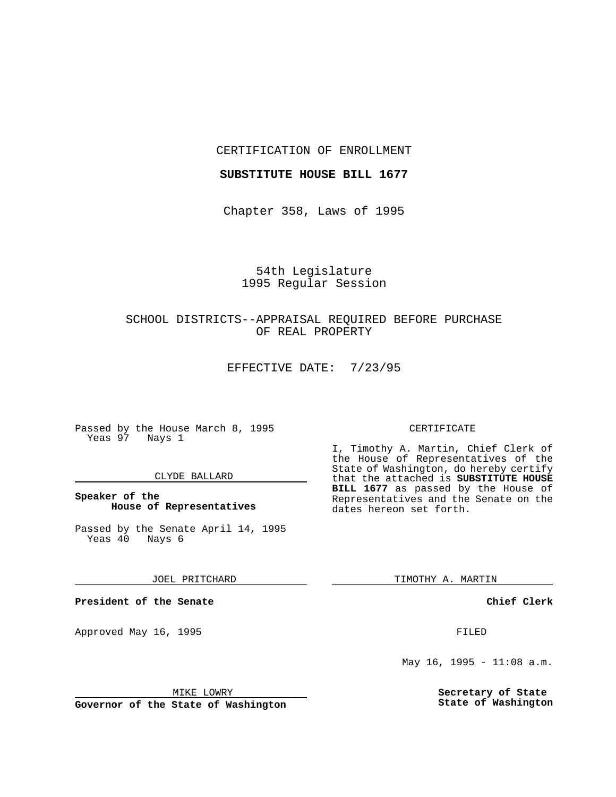### CERTIFICATION OF ENROLLMENT

### **SUBSTITUTE HOUSE BILL 1677**

Chapter 358, Laws of 1995

# 54th Legislature 1995 Regular Session

## SCHOOL DISTRICTS--APPRAISAL REQUIRED BEFORE PURCHASE OF REAL PROPERTY

EFFECTIVE DATE: 7/23/95

Passed by the House March 8, 1995 Yeas 97 Nays 1

### CLYDE BALLARD

### **Speaker of the House of Representatives**

Passed by the Senate April 14, 1995<br>Yeas 40 Nays 6  $Yeas$  40

JOEL PRITCHARD

**President of the Senate**

Approved May 16, 1995 **FILED** 

#### MIKE LOWRY

**Governor of the State of Washington**

#### CERTIFICATE

I, Timothy A. Martin, Chief Clerk of the House of Representatives of the State of Washington, do hereby certify that the attached is **SUBSTITUTE HOUSE BILL 1677** as passed by the House of Representatives and the Senate on the dates hereon set forth.

TIMOTHY A. MARTIN

**Chief Clerk**

May 16, 1995 -  $11:08$  a.m.

**Secretary of State State of Washington**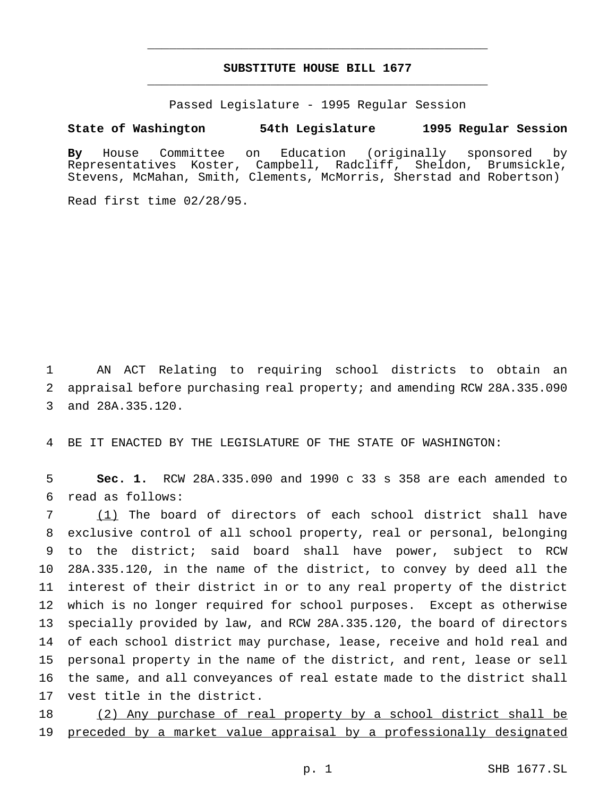## **SUBSTITUTE HOUSE BILL 1677** \_\_\_\_\_\_\_\_\_\_\_\_\_\_\_\_\_\_\_\_\_\_\_\_\_\_\_\_\_\_\_\_\_\_\_\_\_\_\_\_\_\_\_\_\_\_\_

\_\_\_\_\_\_\_\_\_\_\_\_\_\_\_\_\_\_\_\_\_\_\_\_\_\_\_\_\_\_\_\_\_\_\_\_\_\_\_\_\_\_\_\_\_\_\_

Passed Legislature - 1995 Regular Session

#### **State of Washington 54th Legislature 1995 Regular Session**

**By** House Committee on Education (originally sponsored by Representatives Koster, Campbell, Radcliff, Sheldon, Brumsickle, Stevens, McMahan, Smith, Clements, McMorris, Sherstad and Robertson)

Read first time 02/28/95.

 AN ACT Relating to requiring school districts to obtain an appraisal before purchasing real property; and amending RCW 28A.335.090 and 28A.335.120.

BE IT ENACTED BY THE LEGISLATURE OF THE STATE OF WASHINGTON:

 **Sec. 1.** RCW 28A.335.090 and 1990 c 33 s 358 are each amended to read as follows:

 (1) The board of directors of each school district shall have exclusive control of all school property, real or personal, belonging to the district; said board shall have power, subject to RCW 28A.335.120, in the name of the district, to convey by deed all the interest of their district in or to any real property of the district which is no longer required for school purposes. Except as otherwise specially provided by law, and RCW 28A.335.120, the board of directors of each school district may purchase, lease, receive and hold real and personal property in the name of the district, and rent, lease or sell the same, and all conveyances of real estate made to the district shall vest title in the district.

 (2) Any purchase of real property by a school district shall be preceded by a market value appraisal by a professionally designated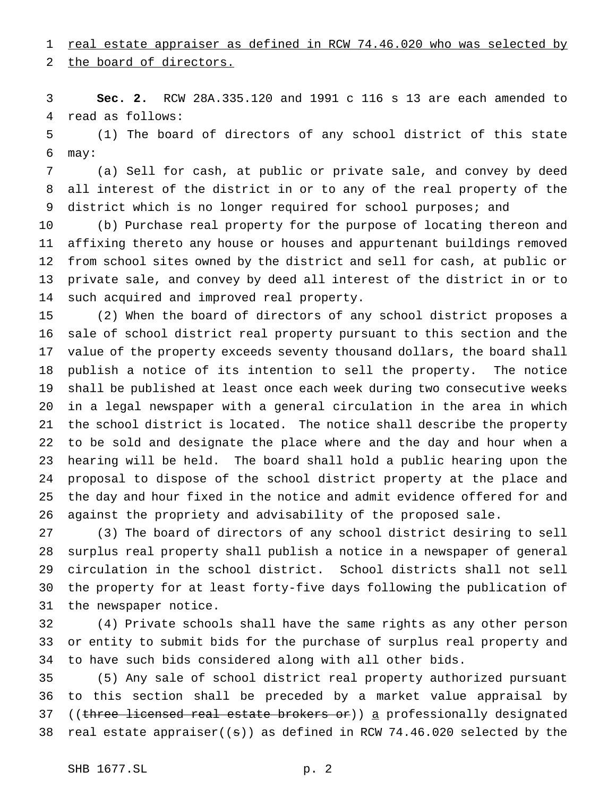1 real estate appraiser as defined in RCW 74.46.020 who was selected by

the board of directors.

 **Sec. 2.** RCW 28A.335.120 and 1991 c 116 s 13 are each amended to read as follows:

 (1) The board of directors of any school district of this state may:

 (a) Sell for cash, at public or private sale, and convey by deed all interest of the district in or to any of the real property of the 9 district which is no longer required for school purposes; and

 (b) Purchase real property for the purpose of locating thereon and affixing thereto any house or houses and appurtenant buildings removed from school sites owned by the district and sell for cash, at public or private sale, and convey by deed all interest of the district in or to such acquired and improved real property.

 (2) When the board of directors of any school district proposes a sale of school district real property pursuant to this section and the value of the property exceeds seventy thousand dollars, the board shall publish a notice of its intention to sell the property. The notice shall be published at least once each week during two consecutive weeks in a legal newspaper with a general circulation in the area in which the school district is located. The notice shall describe the property to be sold and designate the place where and the day and hour when a hearing will be held. The board shall hold a public hearing upon the proposal to dispose of the school district property at the place and the day and hour fixed in the notice and admit evidence offered for and against the propriety and advisability of the proposed sale.

 (3) The board of directors of any school district desiring to sell surplus real property shall publish a notice in a newspaper of general circulation in the school district. School districts shall not sell the property for at least forty-five days following the publication of the newspaper notice.

 (4) Private schools shall have the same rights as any other person or entity to submit bids for the purchase of surplus real property and to have such bids considered along with all other bids.

 (5) Any sale of school district real property authorized pursuant to this section shall be preceded by a market value appraisal by 37 ((three licensed real estate brokers or)) a professionally designated 38 real estate appraiser( $(\pm)$ ) as defined in RCW 74.46.020 selected by the